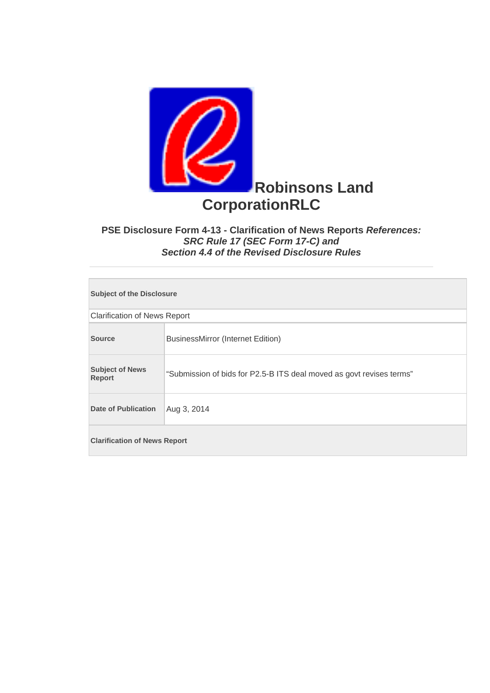

## **PSE Disclosure Form 4-13 - Clarification of News Reports** *References: SRC Rule 17 (SEC Form 17-C) and Section 4.4 of the Revised Disclosure Rules*

| <b>Subject of the Disclosure</b>        |                                                                      |  |
|-----------------------------------------|----------------------------------------------------------------------|--|
| <b>Clarification of News Report</b>     |                                                                      |  |
| <b>Source</b>                           | <b>BusinessMirror (Internet Edition)</b>                             |  |
| <b>Subject of News</b><br><b>Report</b> | "Submission of bids for P2.5-B ITS deal moved as govt revises terms" |  |
| <b>Date of Publication</b>              | Aug 3, 2014                                                          |  |
| <b>Clarification of News Report</b>     |                                                                      |  |